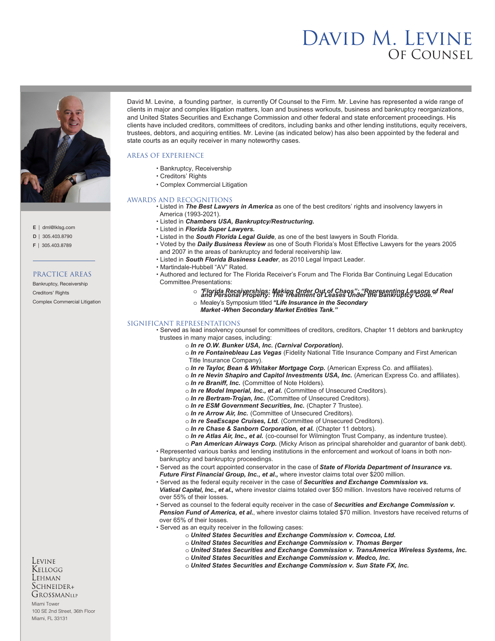# David M. Levine Of Counsel



E | dml@lklsg.com

D | 305.403.8790

F | 305.403.8789

### PRACTICE AREAS

Bankruptcy, Receivership Creditors' Rights Complex Commercial Litigation David M. Levine, a founding partner, is currently Of Counsel to the Firm. Mr. Levine has represented a wide range of clients in major and complex litigation matters, loan and business workouts, business and bankruptcy reorganizations, and United States Securities and Exchange Commission and other federal and state enforcement proceedings. His clients have included creditors, committees of creditors, including banks and other lending institutions, equity receivers, trustees, debtors, and acquiring entities. Mr. Levine (as indicated below) has also been appointed by the federal and state courts as an equity receiver in many noteworthy cases.

## AREAS OF EXPERIENCE

- Bankruptcy, Receivership
- Creditors' Rights
- Complex Commercial Litigation

#### AWARDS AND RECOGNITIONS

• Listed in *The Best Lawyers in America* as one of the best creditors' rights and insolvency lawyers in America (1993-2021).

- Listed in *Chambers USA, Bankruptcy/Restructuring.*
- Listed in *Florida Super Lawyers.*
- Listed in the *South Florida Legal Guide*, as one of the best lawyers in South Florida.
- Voted by the *Daily Business Review* as one of South Florida's Most Effective Lawyers for the years 2005 and 2007 in the areas of bankruptcy and federal receivership law.
- Listed in *South Florida Business Leader*, as 2010 Legal Impact Leader.
- Martindale-Hubbell "AV" Rated.
- Authored and lectured for The Florida Receiver's Forum and The Florida Bar Continuing Legal Education Committee.Presentations:

## o " *and Personal Property: The T Florida Receiverships: Making Order Out of Chaos"; "Representing Lessors of Real reatment of Leases Under the Bankruptcy Code."*

o Mealey's Symposium titled *"Life Insurance in the Secondary* 

*Market -When Secondary Market Entities Tank."* 

#### SIGNIFICANT REPRESENTATIONS

• Served as lead insolvency counsel for committees of creditors, creditors, Chapter 11 debtors and bankruptcy trustees in many major cases, including:

- o *In re O.W. Bunker USA, Inc. (Carnival Corporation).*
- o *In re Fontainebleau Las Vegas* (Fidelity National Title Insurance Company and First American Title Insurance Company).
- o *In re Taylor, Bean & Whitaker Mortgage Corp.* (American Express Co. and affiliates).
- o *In re Nevin Shapiro and Capitol Investments USA, Inc.* (American Express Co. and affiliates).
- o *In re Braniff, Inc.* (Committee of Note Holders).
- o *In re Model Imperial, Inc., et al.* (Committee of Unsecured Creditors).
- o *In re Bertram-Trojan, Inc.* (Committee of Unsecured Creditors).
- o *In re ESM Government Securities, Inc.* (Chapter 7 Trustee).
- o *In re Arrow Air, Inc.* (Committee of Unsecured Creditors).
- o *In re SeaEscape Cruises, Ltd.* (Committee of Unsecured Creditors).
- o *In re Chase & Sanborn Corporation, et al.* (Chapter 11 debtors).
- o *In re Atlas Air, Inc., et al.* (co-counsel for Wilmington Trust Company, as indenture trustee).
- o *Pan American Airways Corp.* (Micky Arison as principal shareholder and guarantor of bank debt).
- Represented various banks and lending institutions in the enforcement and workout of loans in both non bankruptcy and bankruptcy proceedings.
- Served as the court appointed conservator in the case of *State of Florida Department of Insurance vs.*
- *Future First Financial Group, Inc., et al.,* where investor claims total over \$200 million.
- Served as the federal equity receiver in the case of *Securities and Exchange Commission vs.*
- *Viatical Capital, Inc., et al.,* where investor claims totaled over \$50 million. Investors have received returns of over 55% of their losses.
- Served as counsel to the federal equity receiver in the case of *Securities and Exchange Commission v. Pension Fund of America, et al.*, where investor claims totaled \$70 million. Investors have received returns of over 65% of their losses.
- Served as an equity receiver in the following cases:
	- o *United States Securities and Exchange Commission v. Comcoa, Ltd.*
	- o *United States Securities and Exchange Commission v. Thomas Berger*
	- o *United States Securities and Exchange Commission v. TransAmerica Wireless Systems, Inc.*
	- o *United States Securities and Exchange Commission v. Medco, Inc.*
	- o *United States Securities and Exchange Commission v. Sun State FX, Inc.*

Levine Kellogg Lehman SCHNEIDER+ GROSSMANLLP

Miami Tower 100 SE 2nd Street, 36th Floor Miami, FL 33131